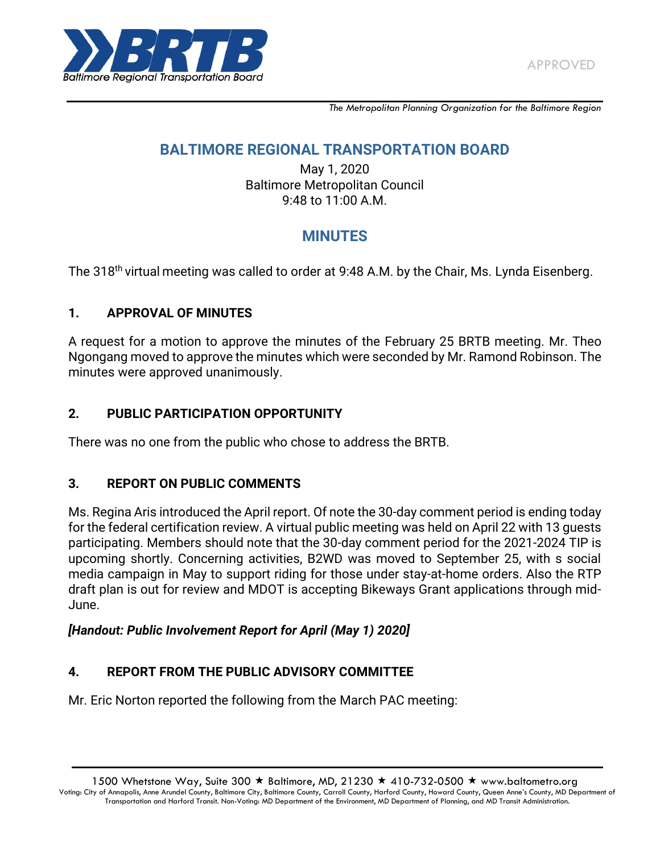

*The Metropolitan Planning Organization for the Baltimore Region*

# **BALTIMORE REGIONAL TRANSPORTATION BOARD**

May 1, 2020 Baltimore Metropolitan Council 9:48 to 11:00 A.M.

# **MINUTES**

The 318<sup>th</sup> virtual meeting was called to order at 9:48 A.M. by the Chair, Ms. Lynda Eisenberg.

### **1. APPROVAL OF MINUTES**

A request for a motion to approve the minutes of the February 25 BRTB meeting. Mr. Theo Ngongang moved to approve the minutes which were seconded by Mr. Ramond Robinson. The minutes were approved unanimously.

### **2. PUBLIC PARTICIPATION OPPORTUNITY**

There was no one from the public who chose to address the BRTB.

### **3. REPORT ON PUBLIC COMMENTS**

Ms. Regina Aris introduced the April report. Of note the 30-day comment period is ending today for the federal certification review. A virtual public meeting was held on April 22 with 13 guests participating. Members should note that the 30-day comment period for the 2021-2024 TIP is upcoming shortly. Concerning activities, B2WD was moved to September 25, with s social media campaign in May to support riding for those under stay-at-home orders. Also the RTP draft plan is out for review and MDOT is accepting Bikeways Grant applications through mid-June.

### *[Handout: Public Involvement Report for April (May 1) 2020]*

## **4. REPORT FROM THE PUBLIC ADVISORY COMMITTEE**

Mr. Eric Norton reported the following from the March PAC meeting: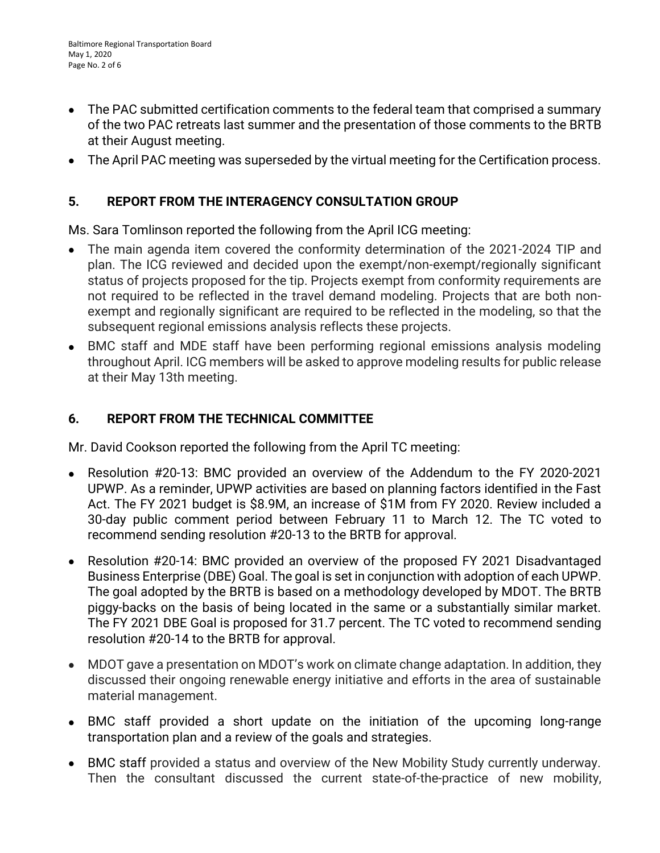- $\bullet$ The PAC submitted certification comments to the federal team that comprised a summary of the two PAC retreats last summer and the presentation of those comments to the BRTB at their August meeting.
- The April PAC meeting was superseded by the virtual meeting for the Certification process.

### **5. REPORT FROM THE INTERAGENCY CONSULTATION GROUP**

Ms. Sara Tomlinson reported the following from the April ICG meeting:

- The main agenda item covered the conformity determination of the 2021-2024 TIP and plan. The ICG reviewed and decided upon the exempt/non-exempt/regionally significant status of projects proposed for the tip. Projects exempt from conformity requirements are not required to be reflected in the travel demand modeling. Projects that are both nonexempt and regionally significant are required to be reflected in the modeling, so that the subsequent regional emissions analysis reflects these projects.
- BMC staff and MDE staff have been performing regional emissions analysis modeling throughout April. ICG members will be asked to approve modeling results for public release at their May 13th meeting.

### **6. REPORT FROM THE TECHNICAL COMMITTEE**

Mr. David Cookson reported the following from the April TC meeting:

- $\bullet$ Resolution #20-13: BMC provided an overview of the Addendum to the FY 2020-2021 UPWP. As a reminder, UPWP activities are based on planning factors identified in the Fast Act. The FY 2021 budget is \$8.9M, an increase of \$1M from FY 2020. Review included a 30-day public comment period between February 11 to March 12. The TC voted to recommend sending resolution #20-13 to the BRTB for approval.
- Resolution #20-14: BMC provided an overview of the proposed FY 2021 Disadvantaged Business Enterprise (DBE) Goal. The goal is set in conjunction with adoption of each UPWP. The goal adopted by the BRTB is based on a methodology developed by MDOT. The BRTB piggy-backs on the basis of being located in the same or a substantially similar market. The FY 2021 DBE Goal is proposed for 31.7 percent. The TC voted to recommend sending resolution #20-14 to the BRTB for approval.
- MDOT gave a presentation on MDOT's work on climate change adaptation. In addition, they discussed their ongoing renewable energy initiative and efforts in the area of sustainable material management.
- BMC staff provided a short update on the initiation of the upcoming long-range transportation plan and a review of the goals and strategies.
- BMC staff provided a status and overview of the New Mobility Study currently underway. Then the consultant discussed the current state-of-the-practice of new mobility,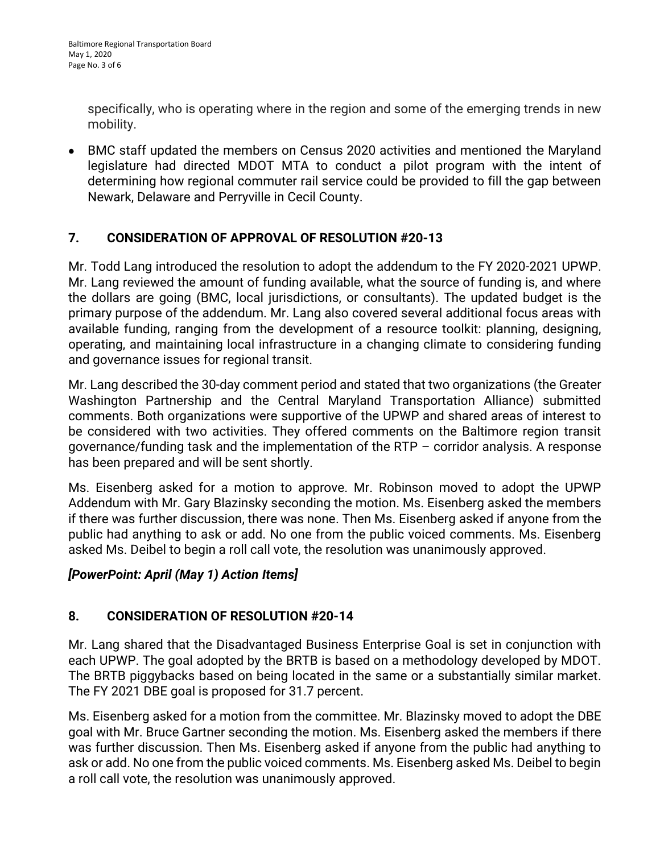specifically, who is operating where in the region and some of the emerging trends in new mobility.

BMC staff updated the members on Census 2020 activities and mentioned the Maryland legislature had directed MDOT MTA to conduct a pilot program with the intent of determining how regional commuter rail service could be provided to fill the gap between Newark, Delaware and Perryville in Cecil County.

## **7. CONSIDERATION OF APPROVAL OF RESOLUTION #20-13**

Mr. Todd Lang introduced the resolution to adopt the addendum to the FY 2020-2021 UPWP. Mr. Lang reviewed the amount of funding available, what the source of funding is, and where the dollars are going (BMC, local jurisdictions, or consultants). The updated budget is the primary purpose of the addendum. Mr. Lang also covered several additional focus areas with available funding, ranging from the development of a resource toolkit: planning, designing, operating, and maintaining local infrastructure in a changing climate to considering funding and governance issues for regional transit.

Mr. Lang described the 30-day comment period and stated that two organizations (the Greater Washington Partnership and the Central Maryland Transportation Alliance) submitted comments. Both organizations were supportive of the UPWP and shared areas of interest to be considered with two activities. They offered comments on the Baltimore region transit governance/funding task and the implementation of the RTP – corridor analysis. A response has been prepared and will be sent shortly.

Ms. Eisenberg asked for a motion to approve. Mr. Robinson moved to adopt the UPWP Addendum with Mr. Gary Blazinsky seconding the motion. Ms. Eisenberg asked the members if there was further discussion, there was none. Then Ms. Eisenberg asked if anyone from the public had anything to ask or add. No one from the public voiced comments. Ms. Eisenberg asked Ms. Deibel to begin a roll call vote, the resolution was unanimously approved.

## *[PowerPoint: April (May 1) Action Items]*

## **8. CONSIDERATION OF RESOLUTION #20-14**

Mr. Lang shared that the Disadvantaged Business Enterprise Goal is set in conjunction with each UPWP. The goal adopted by the BRTB is based on a methodology developed by MDOT. The BRTB piggybacks based on being located in the same or a substantially similar market. The FY 2021 DBE goal is proposed for 31.7 percent.

Ms. Eisenberg asked for a motion from the committee. Mr. Blazinsky moved to adopt the DBE goal with Mr. Bruce Gartner seconding the motion. Ms. Eisenberg asked the members if there was further discussion. Then Ms. Eisenberg asked if anyone from the public had anything to ask or add. No one from the public voiced comments. Ms. Eisenberg asked Ms. Deibel to begin a roll call vote, the resolution was unanimously approved.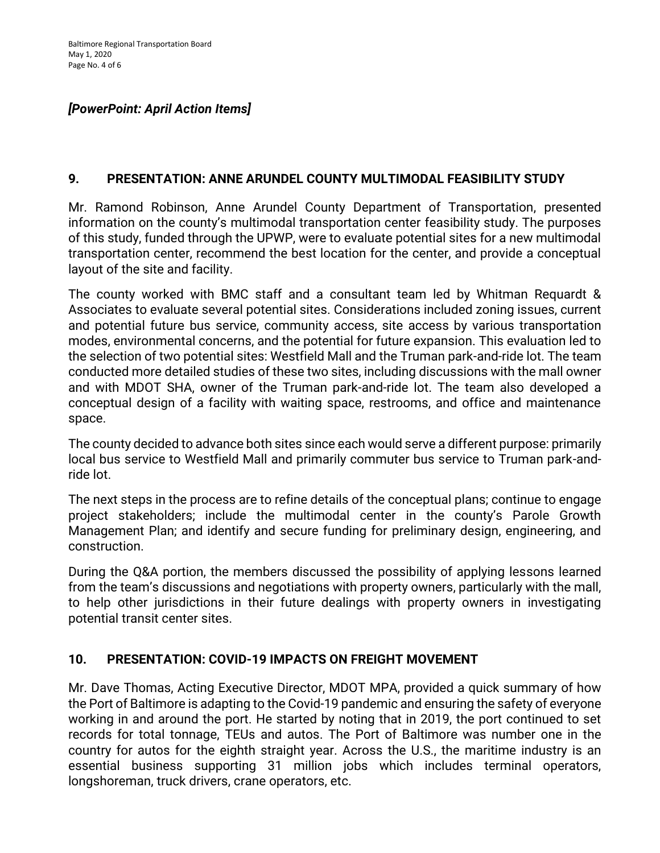# *[PowerPoint: April Action Items]*

### **9. PRESENTATION: ANNE ARUNDEL COUNTY MULTIMODAL FEASIBILITY STUDY**

Mr. Ramond Robinson, Anne Arundel County Department of Transportation, presented information on the county's multimodal transportation center feasibility study. The purposes of this study, funded through the UPWP, were to evaluate potential sites for a new multimodal transportation center, recommend the best location for the center, and provide a conceptual layout of the site and facility.

The county worked with BMC staff and a consultant team led by Whitman Requardt & Associates to evaluate several potential sites. Considerations included zoning issues, current and potential future bus service, community access, site access by various transportation modes, environmental concerns, and the potential for future expansion. This evaluation led to the selection of two potential sites: Westfield Mall and the Truman park-and-ride lot. The team conducted more detailed studies of these two sites, including discussions with the mall owner and with MDOT SHA, owner of the Truman park-and-ride lot. The team also developed a conceptual design of a facility with waiting space, restrooms, and office and maintenance space.

The county decided to advance both sites since each would serve a different purpose: primarily local bus service to Westfield Mall and primarily commuter bus service to Truman park-andride lot.

The next steps in the process are to refine details of the conceptual plans; continue to engage project stakeholders; include the multimodal center in the county's Parole Growth Management Plan; and identify and secure funding for preliminary design, engineering, and construction.

During the Q&A portion, the members discussed the possibility of applying lessons learned from the team's discussions and negotiations with property owners, particularly with the mall, to help other jurisdictions in their future dealings with property owners in investigating potential transit center sites.

### **10. PRESENTATION: COVID-19 IMPACTS ON FREIGHT MOVEMENT**

Mr. Dave Thomas, Acting Executive Director, MDOT MPA, provided a quick summary of how the Port of Baltimore is adapting to the Covid-19 pandemic and ensuring the safety of everyone working in and around the port. He started by noting that in 2019, the port continued to set records for total tonnage, TEUs and autos. The Port of Baltimore was number one in the country for autos for the eighth straight year. Across the U.S., the maritime industry is an essential business supporting 31 million jobs which includes terminal operators, longshoreman, truck drivers, crane operators, etc.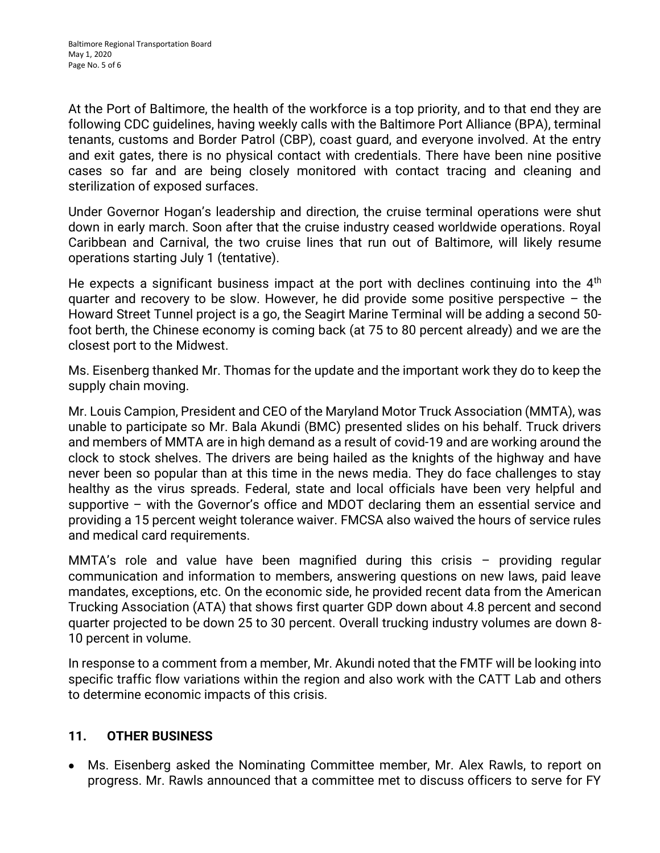At the Port of Baltimore, the health of the workforce is a top priority, and to that end they are following CDC guidelines, having weekly calls with the Baltimore Port Alliance (BPA), terminal tenants, customs and Border Patrol (CBP), coast guard, and everyone involved. At the entry and exit gates, there is no physical contact with credentials. There have been nine positive cases so far and are being closely monitored with contact tracing and cleaning and sterilization of exposed surfaces.

Under Governor Hogan's leadership and direction, the cruise terminal operations were shut down in early march. Soon after that the cruise industry ceased worldwide operations. Royal Caribbean and Carnival, the two cruise lines that run out of Baltimore, will likely resume operations starting July 1 (tentative).

He expects a significant business impact at the port with declines continuing into the  $4<sup>th</sup>$ quarter and recovery to be slow. However, he did provide some positive perspective  $-$  the Howard Street Tunnel project is a go, the Seagirt Marine Terminal will be adding a second 50 foot berth, the Chinese economy is coming back (at 75 to 80 percent already) and we are the closest port to the Midwest.

Ms. Eisenberg thanked Mr. Thomas for the update and the important work they do to keep the supply chain moving.

Mr. Louis Campion, President and CEO of the Maryland Motor Truck Association (MMTA), was unable to participate so Mr. Bala Akundi (BMC) presented slides on his behalf. Truck drivers and members of MMTA are in high demand as a result of covid-19 and are working around the clock to stock shelves. The drivers are being hailed as the knights of the highway and have never been so popular than at this time in the news media. They do face challenges to stay healthy as the virus spreads. Federal, state and local officials have been very helpful and supportive – with the Governor's office and MDOT declaring them an essential service and providing a 15 percent weight tolerance waiver. FMCSA also waived the hours of service rules and medical card requirements.

MMTA's role and value have been magnified during this crisis – providing regular communication and information to members, answering questions on new laws, paid leave mandates, exceptions, etc. On the economic side, he provided recent data from the American Trucking Association (ATA) that shows first quarter GDP down about 4.8 percent and second quarter projected to be down 25 to 30 percent. Overall trucking industry volumes are down 8- 10 percent in volume.

In response to a comment from a member, Mr. Akundi noted that the FMTF will be looking into specific traffic flow variations within the region and also work with the CATT Lab and others to determine economic impacts of this crisis.

### **11. OTHER BUSINESS**

Ms. Eisenberg asked the Nominating Committee member, Mr. Alex Rawls, to report on progress. Mr. Rawls announced that a committee met to discuss officers to serve for FY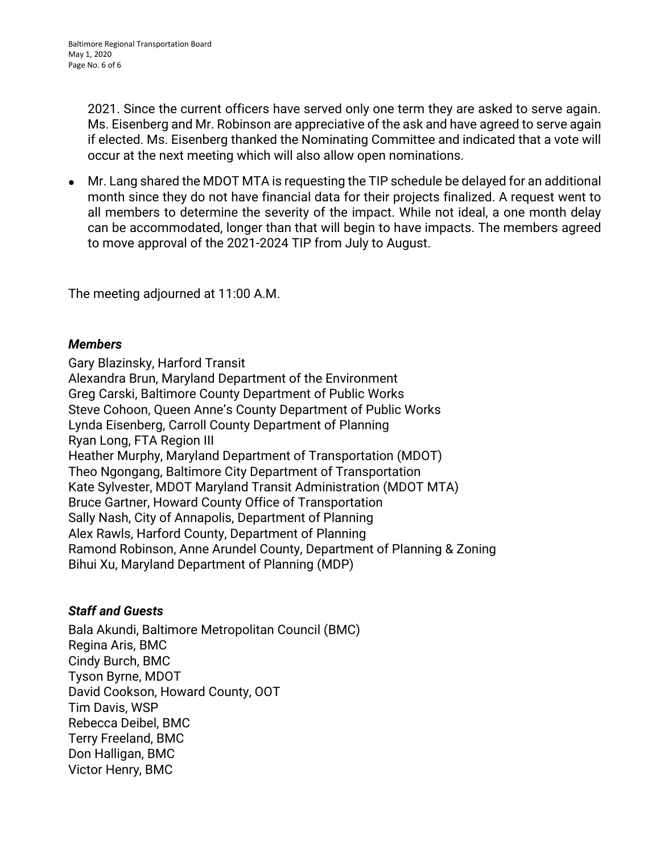2021. Since the current officers have served only one term they are asked to serve again. Ms. Eisenberg and Mr. Robinson are appreciative of the ask and have agreed to serve again if elected. Ms. Eisenberg thanked the Nominating Committee and indicated that a vote will occur at the next meeting which will also allow open nominations.

Mr. Lang shared the MDOT MTA is requesting the TIP schedule be delayed for an additional  $\bullet$ month since they do not have financial data for their projects finalized. A request went to all members to determine the severity of the impact. While not ideal, a one month delay can be accommodated, longer than that will begin to have impacts. The members agreed to move approval of the 2021-2024 TIP from July to August.

The meeting adjourned at 11:00 A.M.

### *Members*

Gary Blazinsky, Harford Transit Alexandra Brun, Maryland Department of the Environment Greg Carski, Baltimore County Department of Public Works Steve Cohoon, Queen Anne's County Department of Public Works Lynda Eisenberg, Carroll County Department of Planning Ryan Long, FTA Region III Heather Murphy, Maryland Department of Transportation (MDOT) Theo Ngongang, Baltimore City Department of Transportation Kate Sylvester, MDOT Maryland Transit Administration (MDOT MTA) Bruce Gartner, Howard County Office of Transportation Sally Nash, City of Annapolis, Department of Planning Alex Rawls, Harford County, Department of Planning Ramond Robinson, Anne Arundel County, Department of Planning & Zoning Bihui Xu, Maryland Department of Planning (MDP)

### *Staff and Guests*

Bala Akundi, Baltimore Metropolitan Council (BMC) Regina Aris, BMC Cindy Burch, BMC Tyson Byrne, MDOT David Cookson, Howard County, OOT Tim Davis, WSP Rebecca Deibel, BMC Terry Freeland, BMC Don Halligan, BMC Victor Henry, BMC